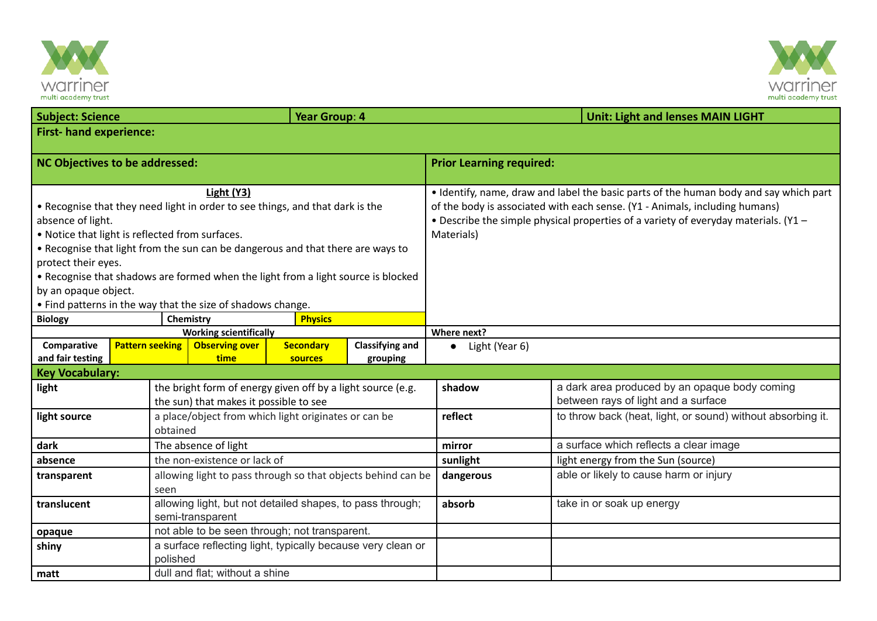



| <b>Subject: Science</b>                                                                                |                                                             |                                                                                                       | Year Group: 4  |                                                              |                                                                                       | <b>Unit: Light and lenses MAIN LIGHT</b>                    |  |  |  |  |
|--------------------------------------------------------------------------------------------------------|-------------------------------------------------------------|-------------------------------------------------------------------------------------------------------|----------------|--------------------------------------------------------------|---------------------------------------------------------------------------------------|-------------------------------------------------------------|--|--|--|--|
| <b>First-hand experience:</b>                                                                          |                                                             |                                                                                                       |                |                                                              |                                                                                       |                                                             |  |  |  |  |
| NC Objectives to be addressed:                                                                         |                                                             |                                                                                                       |                |                                                              | <b>Prior Learning required:</b>                                                       |                                                             |  |  |  |  |
|                                                                                                        |                                                             |                                                                                                       |                |                                                              |                                                                                       |                                                             |  |  |  |  |
|                                                                                                        |                                                             | Light (Y3)                                                                                            |                |                                                              | • Identify, name, draw and label the basic parts of the human body and say which part |                                                             |  |  |  |  |
| • Recognise that they need light in order to see things, and that dark is the                          |                                                             |                                                                                                       |                |                                                              | of the body is associated with each sense. (Y1 - Animals, including humans)           |                                                             |  |  |  |  |
| absence of light.                                                                                      |                                                             |                                                                                                       |                |                                                              | . Describe the simple physical properties of a variety of everyday materials. (Y1 -   |                                                             |  |  |  |  |
| . Notice that light is reflected from surfaces.                                                        |                                                             |                                                                                                       |                |                                                              | Materials)                                                                            |                                                             |  |  |  |  |
| • Recognise that light from the sun can be dangerous and that there are ways to<br>protect their eyes. |                                                             |                                                                                                       |                |                                                              |                                                                                       |                                                             |  |  |  |  |
| . Recognise that shadows are formed when the light from a light source is blocked                      |                                                             |                                                                                                       |                |                                                              |                                                                                       |                                                             |  |  |  |  |
| by an opaque object.                                                                                   |                                                             |                                                                                                       |                |                                                              |                                                                                       |                                                             |  |  |  |  |
|                                                                                                        | • Find patterns in the way that the size of shadows change. |                                                                                                       |                |                                                              |                                                                                       |                                                             |  |  |  |  |
| <b>Biology</b>                                                                                         | Chemistry                                                   |                                                                                                       |                |                                                              |                                                                                       |                                                             |  |  |  |  |
| <b>Working scientifically</b>                                                                          |                                                             |                                                                                                       |                |                                                              | Where next?                                                                           |                                                             |  |  |  |  |
| Comparative                                                                                            | <b>Pattern seeking</b>                                      | <b>Classifying and</b><br><b>Observing over</b><br><b>Secondary</b>                                   |                |                                                              | Light (Year 6)<br>$\bullet$                                                           |                                                             |  |  |  |  |
| and fair testing<br><b>Key Vocabulary:</b>                                                             |                                                             | time                                                                                                  | <b>sources</b> | grouping                                                     |                                                                                       |                                                             |  |  |  |  |
| light                                                                                                  |                                                             |                                                                                                       |                |                                                              | shadow                                                                                | a dark area produced by an opaque body coming               |  |  |  |  |
|                                                                                                        |                                                             | the bright form of energy given off by a light source (e.g.<br>the sun) that makes it possible to see |                |                                                              |                                                                                       | between rays of light and a surface                         |  |  |  |  |
| light source                                                                                           |                                                             | a place/object from which light originates or can be                                                  |                |                                                              | reflect                                                                               | to throw back (heat, light, or sound) without absorbing it. |  |  |  |  |
|                                                                                                        | obtained                                                    |                                                                                                       |                |                                                              |                                                                                       |                                                             |  |  |  |  |
| dark                                                                                                   |                                                             | The absence of light                                                                                  |                |                                                              | mirror                                                                                | a surface which reflects a clear image                      |  |  |  |  |
| absence                                                                                                |                                                             | the non-existence or lack of                                                                          |                |                                                              | sunlight                                                                              | light energy from the Sun (source)                          |  |  |  |  |
| transparent                                                                                            |                                                             |                                                                                                       |                | allowing light to pass through so that objects behind can be | dangerous                                                                             | able or likely to cause harm or injury                      |  |  |  |  |
|                                                                                                        | seen                                                        |                                                                                                       |                |                                                              |                                                                                       |                                                             |  |  |  |  |
| translucent                                                                                            |                                                             | allowing light, but not detailed shapes, to pass through;<br>semi-transparent                         |                |                                                              | absorb                                                                                | take in or soak up energy                                   |  |  |  |  |
| opaque                                                                                                 | not able to be seen through; not transparent.               |                                                                                                       |                |                                                              |                                                                                       |                                                             |  |  |  |  |
| a surface reflecting light, typically because very clean or<br>shiny<br>polished                       |                                                             |                                                                                                       |                |                                                              |                                                                                       |                                                             |  |  |  |  |
| matt                                                                                                   |                                                             | dull and flat; without a shine                                                                        |                |                                                              |                                                                                       |                                                             |  |  |  |  |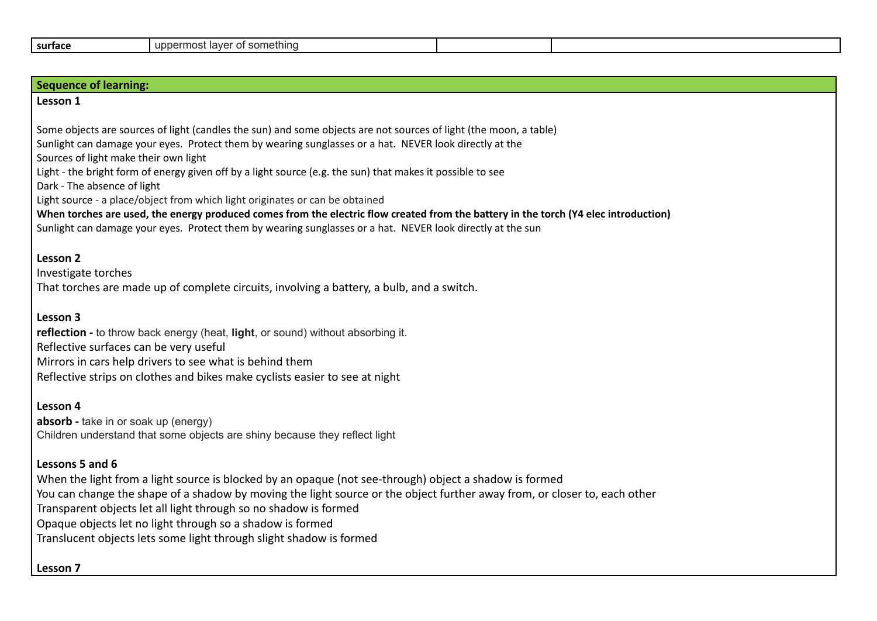| ' something<br>uppermos:<br>laver<br>surtace<br>$\cdot$ |
|---------------------------------------------------------|
|---------------------------------------------------------|

| <b>Sequence of learning:</b>                                                                                                                                                                                                                                                                                                                                                                                                                                                                      |  |  |  |  |  |  |
|---------------------------------------------------------------------------------------------------------------------------------------------------------------------------------------------------------------------------------------------------------------------------------------------------------------------------------------------------------------------------------------------------------------------------------------------------------------------------------------------------|--|--|--|--|--|--|
| Lesson 1                                                                                                                                                                                                                                                                                                                                                                                                                                                                                          |  |  |  |  |  |  |
| Some objects are sources of light (candles the sun) and some objects are not sources of light (the moon, a table)<br>Sunlight can damage your eyes. Protect them by wearing sunglasses or a hat. NEVER look directly at the<br>Sources of light make their own light<br>Light - the bright form of energy given off by a light source (e.g. the sun) that makes it possible to see<br>Dark - The absence of light<br>Light source - a place/object from which light originates or can be obtained |  |  |  |  |  |  |
| When torches are used, the energy produced comes from the electric flow created from the battery in the torch (Y4 elec introduction)<br>Sunlight can damage your eyes. Protect them by wearing sunglasses or a hat. NEVER look directly at the sun                                                                                                                                                                                                                                                |  |  |  |  |  |  |
| Lesson 2<br>Investigate torches<br>That torches are made up of complete circuits, involving a battery, a bulb, and a switch.                                                                                                                                                                                                                                                                                                                                                                      |  |  |  |  |  |  |
| Lesson 3<br>reflection - to throw back energy (heat, light, or sound) without absorbing it.<br>Reflective surfaces can be very useful<br>Mirrors in cars help drivers to see what is behind them<br>Reflective strips on clothes and bikes make cyclists easier to see at night                                                                                                                                                                                                                   |  |  |  |  |  |  |
| Lesson 4<br><b>absorb</b> - take in or soak up (energy)<br>Children understand that some objects are shiny because they reflect light                                                                                                                                                                                                                                                                                                                                                             |  |  |  |  |  |  |
| Lessons 5 and 6<br>When the light from a light source is blocked by an opaque (not see-through) object a shadow is formed<br>You can change the shape of a shadow by moving the light source or the object further away from, or closer to, each other<br>Transparent objects let all light through so no shadow is formed<br>Opaque objects let no light through so a shadow is formed<br>Translucent objects lets some light through slight shadow is formed                                    |  |  |  |  |  |  |

**Lesson 7**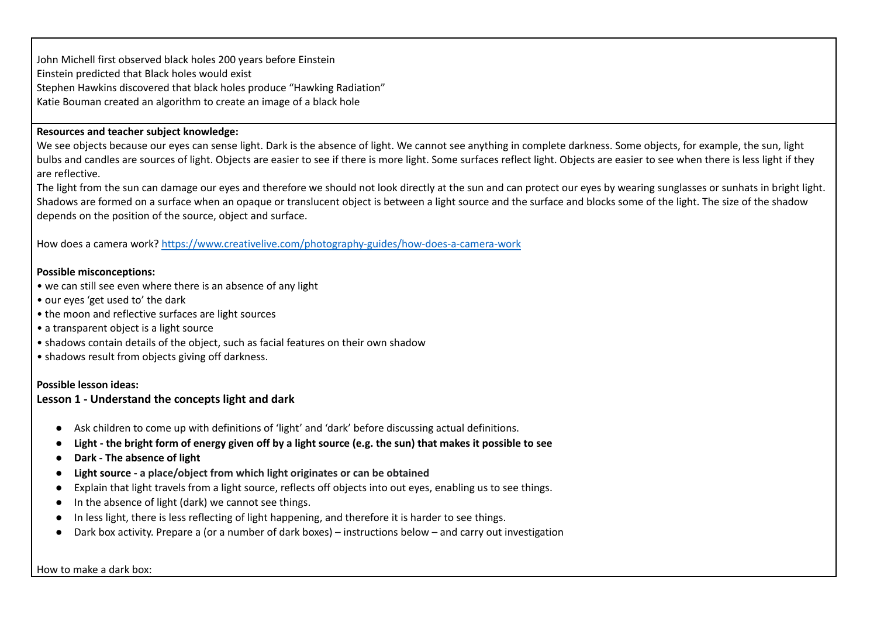John Michell first observed black holes 200 years before Einstein Einstein predicted that Black holes would exist Stephen Hawkins discovered that black holes produce "Hawking Radiation" Katie Bouman created an algorithm to create an image of a black hole

## **Resources and teacher subject knowledge:**

We see objects because our eyes can sense light. Dark is the absence of light. We cannot see anything in complete darkness. Some objects, for example, the sun, light bulbs and candles are sources of light. Objects are easier to see if there is more light. Some surfaces reflect light. Objects are easier to see when there is less light if they are reflective.

The light from the sun can damage our eyes and therefore we should not look directly at the sun and can protect our eyes by wearing sunglasses or sunhats in bright light. Shadows are formed on a surface when an opaque or translucent object is between a light source and the surface and blocks some of the light. The size of the shadow depends on the position of the source, object and surface.

How does a camera work? <https://www.creativelive.com/photography-guides/how-does-a-camera-work>

#### **Possible misconceptions:**

- we can still see even where there is an absence of any light
- our eyes 'get used to' the dark
- the moon and reflective surfaces are light sources
- a transparent object is a light source
- shadows contain details of the object, such as facial features on their own shadow
- shadows result from objects giving off darkness.

#### **Possible lesson ideas:**

#### **Lesson 1 - Understand the concepts light and dark**

- Ask children to come up with definitions of 'light' and 'dark' before discussing actual definitions.
- Light the bright form of energy given off by a light source (e.g. the sun) that makes it possible to see
- **● Dark - The absence of light**
- **● Light source - a place/object from which light originates or can be obtained**
- Explain that light travels from a light source, reflects off objects into out eyes, enabling us to see things.
- In the absence of light (dark) we cannot see things.
- In less light, there is less reflecting of light happening, and therefore it is harder to see things.
- Dark box activity. Prepare a (or a number of dark boxes) instructions below and carry out investigation

How to make a dark box: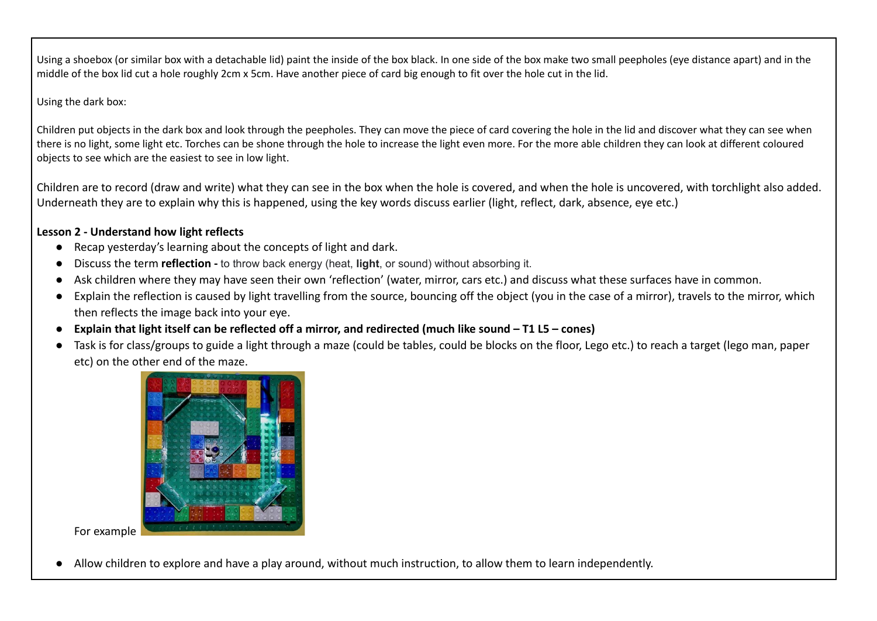Using a shoebox (or similar box with a detachable lid) paint the inside of the box black. In one side of the box make two small peepholes (eye distance apart) and in the middle of the box lid cut a hole roughly 2cm x 5cm. Have another piece of card big enough to fit over the hole cut in the lid.

## Using the dark box:

Children put objects in the dark box and look through the peepholes. They can move the piece of card covering the hole in the lid and discover what they can see when there is no light, some light etc. Torches can be shone through the hole to increase the light even more. For the more able children they can look at different coloured objects to see which are the easiest to see in low light.

Children are to record (draw and write) what they can see in the box when the hole is covered, and when the hole is uncovered, with torchlight also added. Underneath they are to explain why this is happened, using the key words discuss earlier (light, reflect, dark, absence, eye etc.)

# **Lesson 2 - Understand how light reflects**

- **●** Recap yesterday's learning about the concepts of light and dark.
- **●** Discuss the term **reflection -** to throw back energy (heat, **light**, or sound) without absorbing it.
- **●** Ask children where they may have seen their own 'reflection' (water, mirror, cars etc.) and discuss what these surfaces have in common.
- **●** Explain the reflection is caused by light travelling from the source, bouncing off the object (you in the case of a mirror), travels to the mirror, which then reflects the image back into your eye.
- **● Explain that light itself can be reflected off a mirror, and redirected (much like sound T1 L5 cones)**
- **●** Task is for class/groups to guide a light through a maze (could be tables, could be blocks on the floor, Lego etc.) to reach a target (lego man, paper etc) on the other end of the maze.



For example

Allow children to explore and have a play around, without much instruction, to allow them to learn independently.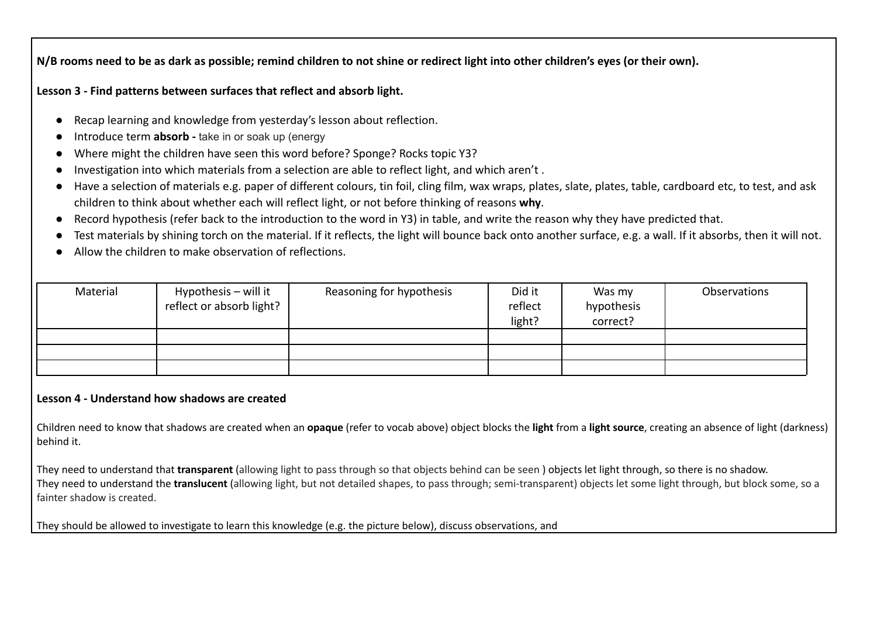**N/B rooms need to be as dark as possible; remind children to not shine or redirect light into other children's eyes (or their own).**

**Lesson 3 - Find patterns between surfaces that reflect and absorb light.**

- Recap learning and knowledge from yesterday's lesson about reflection.
- Introduce term **absorb** take in or soak up (energy
- Where might the children have seen this word before? Sponge? Rocks topic Y3?
- Investigation into which materials from a selection are able to reflect light, and which aren't.
- Have a selection of materials e.g. paper of different colours, tin foil, cling film, wax wraps, plates, slate, plates, table, cardboard etc, to test, and ask children to think about whether each will reflect light, or not before thinking of reasons **why**.
- Record hypothesis (refer back to the introduction to the word in Y3) in table, and write the reason why they have predicted that.
- Test materials by shining torch on the material. If it reflects, the light will bounce back onto another surface, e.g. a wall. If it absorbs, then it will not.
- Allow the children to make observation of reflections.

| Material | Hypothesis – will it<br>reflect or absorb light? | Reasoning for hypothesis | Did it<br>reflect<br>light? | Was my<br>hypothesis<br>correct? | Observations |
|----------|--------------------------------------------------|--------------------------|-----------------------------|----------------------------------|--------------|
|          |                                                  |                          |                             |                                  |              |
|          |                                                  |                          |                             |                                  |              |
|          |                                                  |                          |                             |                                  |              |

## **Lesson 4 - Understand how shadows are created**

Children need to know that shadows are created when an **opaque** (refer to vocab above) object blocks the **light** from a **light source**, creating an absence of light (darkness) behind it.

They need to understand that **transparent** (allowing light to pass through so that objects behind can be seen ) objects let light through, so there is no shadow. They need to understand the **translucent** (allowing light, but not detailed shapes, to pass through; semi-transparent) objects let some light through, but block some, so a fainter shadow is created.

They should be allowed to investigate to learn this knowledge (e.g. the picture below), discuss observations, and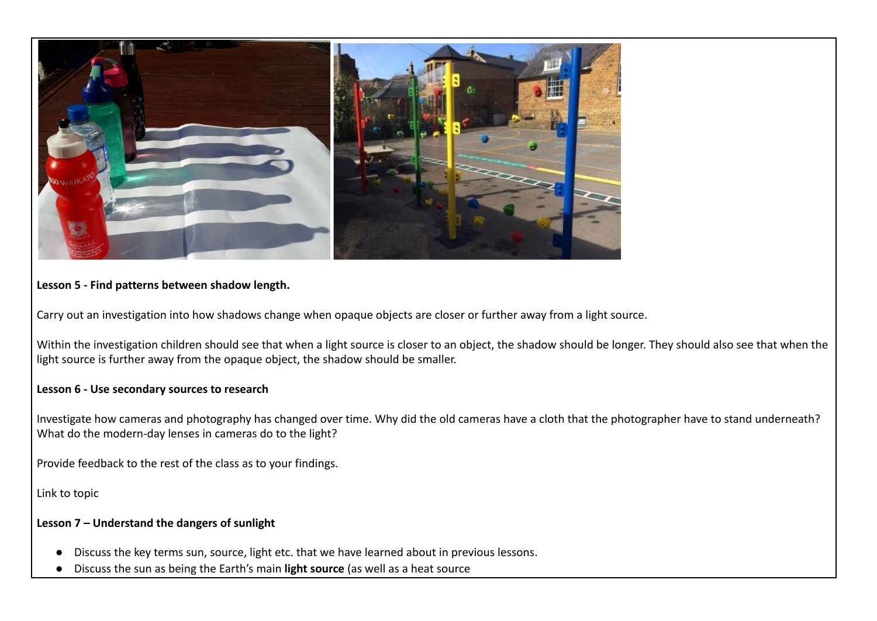

## **Lesson 5 - Find patterns between shadow length.**

Carry out an investigation into how shadows change when opaque objects are closer or further away from a light source.

Within the investigation children should see that when a light source is closer to an object, the shadow should be longer. They should also see that when the light source is further away from the opaque object, the shadow should be smaller.

## **Lesson 6 - Use secondary sources to research**

Investigate how cameras and photography has changed over time. Why did the old cameras have a cloth that the photographer have to stand underneath? What do the modern-day lenses in cameras do to the light?

Provide feedback to the rest of the class as to your findings.

Link to topic

## **Lesson 7 – Understand the dangers of sunlight**

- Discuss the key terms sun, source, light etc. that we have learned about in previous lessons.
- Discuss the sun as being the Earth's main **light source** (as well as a heat source